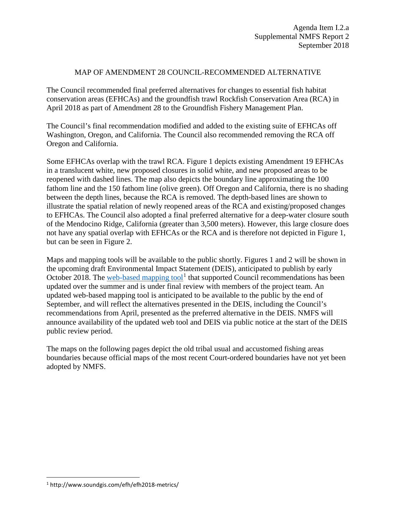## MAP OF AMENDMENT 28 COUNCIL-RECOMMENDED ALTERNATIVE

The Council recommended final preferred alternatives for changes to essential fish habitat conservation areas (EFHCAs) and the groundfish trawl Rockfish Conservation Area (RCA) in April 2018 as part of Amendment 28 to the Groundfish Fishery Management Plan.

The Council's final recommendation modified and added to the existing suite of EFHCAs off Washington, Oregon, and California. The Council also recommended removing the RCA off Oregon and California.

Some EFHCAs overlap with the trawl RCA. Figure 1 depicts existing Amendment 19 EFHCAs in a translucent white, new proposed closures in solid white, and new proposed areas to be reopened with dashed lines. The map also depicts the boundary line approximating the 100 fathom line and the 150 fathom line (olive green). Off Oregon and California, there is no shading between the depth lines, because the RCA is removed. The depth-based lines are shown to illustrate the spatial relation of newly reopened areas of the RCA and existing/proposed changes to EFHCAs. The Council also adopted a final preferred alternative for a deep-water closure south of the Mendocino Ridge, California (greater than 3,500 meters). However, this large closure does not have any spatial overlap with EFHCAs or the RCA and is therefore not depicted in Figure 1, but can be seen in Figure 2.

Maps and mapping tools will be available to the public shortly. Figures 1 and 2 will be shown in the upcoming draft Environmental Impact Statement (DEIS), anticipated to publish by early October 2018. The [web-based mapping tool](http://www.soundgis.com/efh/efh2018-metrics/)<sup>[1](#page-0-0)</sup> that supported Council recommendations has been updated over the summer and is under final review with members of the project team. An updated web-based mapping tool is anticipated to be available to the public by the end of September, and will reflect the alternatives presented in the DEIS, including the Council's recommendations from April, presented as the preferred alternative in the DEIS. NMFS will announce availability of the updated web tool and DEIS via public notice at the start of the DEIS public review period.

The maps on the following pages depict the old tribal usual and accustomed fishing areas boundaries because official maps of the most recent Court-ordered boundaries have not yet been adopted by NMFS.

<span id="page-0-0"></span> <sup>1</sup> http://www.soundgis.com/efh/efh2018-metrics/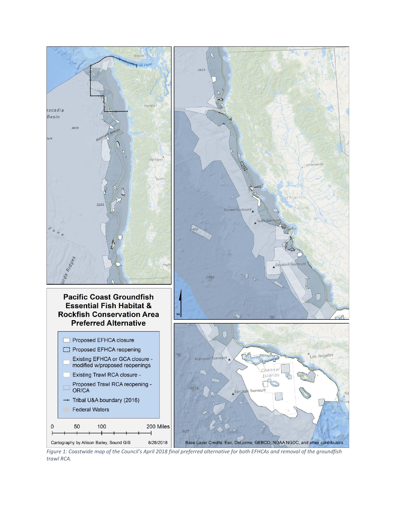

*Figure 1: Coastwide map of the Council's April 2018 final preferred alternative for both EFHCAs and removal of the groundfish trawl RCA.*